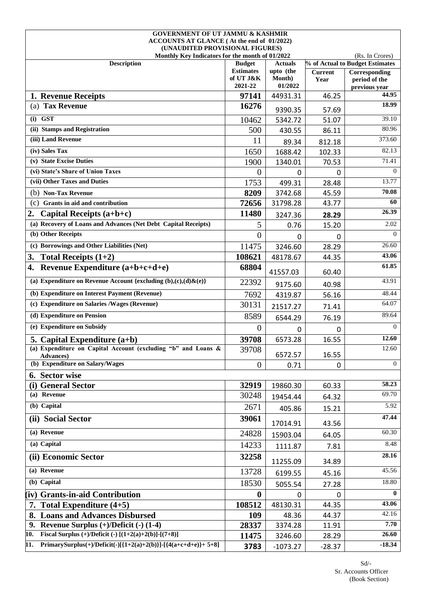| <b>GOVERNMENT OF UT JAMMU &amp; KASHMIR</b>                                   |                               |                     |                        |                                 |
|-------------------------------------------------------------------------------|-------------------------------|---------------------|------------------------|---------------------------------|
| ACCOUNTS AT GLANCE (At the end of 01/2022)<br>(UNAUDITED PROVISIONAL FIGURES) |                               |                     |                        |                                 |
| Monthly Key Indicators for the month of 01/2022                               |                               |                     |                        | (Rs. In Crores)                 |
| <b>Description</b>                                                            | <b>Budget</b>                 | <b>Actuals</b>      |                        | % of Actual to Budget Estimates |
|                                                                               | <b>Estimates</b><br>of UT J&K | upto (the<br>Month) | <b>Current</b><br>Year | Corresponding<br>period of the  |
|                                                                               | 2021-22                       | 01/2022             |                        | previous year                   |
| 1. Revenue Receipts                                                           | 97141                         | 44931.31            | 46.25                  | 44.95                           |
| (a) Tax Revenue                                                               | 16276                         | 9390.35             | 57.69                  | 18.99                           |
| $(i)$ GST                                                                     | 10462                         | 5342.72             | 51.07                  | 39.10                           |
| (ii) Stamps and Registration                                                  | 500                           | 430.55              | 86.11                  | 80.96                           |
| (iii) Land Revenue                                                            | 11                            | 89.34               | 812.18                 | 373.60                          |
| (iv) Sales Tax                                                                | 1650                          | 1688.42             | 102.33                 | 82.13                           |
| (v) State Excise Duties                                                       | 1900                          | 1340.01             | 70.53                  | 71.41                           |
| (vi) State's Share of Union Taxes                                             | $\Omega$                      | 0                   | 0                      | $\Omega$                        |
| (vii) Other Taxes and Duties                                                  | 1753                          | 499.31              | 28.48                  | 13.77                           |
| (b) Non-Tax Revenue                                                           | 8209                          | 3742.68             | 45.59                  | 70.08                           |
| (c)<br>Grants in aid and contribution                                         | 72656                         | 31798.28            | 43.77                  | 60                              |
| 2.<br>Capital Receipts (a+b+c)                                                | 11480                         | 3247.36             | 28.29                  | 26.39                           |
| (a) Recovery of Loans and Advances (Net Debt Capital Receipts)                | 5                             | 0.76                | 15.20                  | 2.02                            |
| (b) Other Receipts                                                            | $\overline{0}$                | 0                   | 0                      | $\Omega$                        |
| (c) Borrowings and Other Liabilities (Net)                                    | 11475                         | 3246.60             | 28.29                  | 26.60                           |
| 3.<br>Total Receipts $(1+2)$                                                  | 108621                        | 48178.67            | 44.35                  | 43.06                           |
| Revenue Expenditure $(a+b+c+d+e)$<br>4.                                       | 68804                         | 41557.03            | 60.40                  | 61.85                           |
| (a) Expenditure on Revenue Account {excluding $(b),(c),(d)\& (e)\}$           | 22392                         | 9175.60             | 40.98                  | 43.91                           |
| (b) Expenditure on Interest Payment (Revenue)                                 | 7692                          | 4319.87             | 56.16                  | 48.44                           |
| (c) Expenditure on Salaries /Wages (Revenue)                                  | 30131                         | 21517.27            | 71.41                  | 64.07                           |
| (d) Expenditure on Pension                                                    | 8589                          | 6544.29             | 76.19                  | 89.64                           |
| (e) Expenditure on Subsidy                                                    | $\theta$                      | 0                   | 0                      | $\Omega$                        |
| 5. Capital Expenditure $(a+b)$                                                | 39708                         | 6573.28             | 16.55                  | 12.60                           |
| (a) Expenditure on Capital Account (excluding "b" and Loans &<br>Advances)    | 39708                         | 6572.57             | 16.55                  | 12.60                           |
| (b) Expenditure on Salary/Wages                                               | $\overline{0}$                | 0.71                | 0                      | $\Omega$                        |
| 6. Sector wise                                                                |                               |                     |                        |                                 |
| (i) General Sector                                                            | 32919                         | 19860.30            | 60.33                  | 58.23                           |
| (a) Revenue                                                                   | 30248                         | 19454.44            | 64.32                  | 69.70                           |
| (b) Capital                                                                   | 2671                          | 405.86              | 15.21                  | 5.92                            |
| (ii) Social Sector                                                            | 39061                         | 17014.91            | 43.56                  | 47.44                           |
| (a) Revenue                                                                   | 24828                         | 15903.04            | 64.05                  | 60.30                           |
| (a) Capital                                                                   | 14233                         | 1111.87             | 7.81                   | 8.48                            |
| (ii) Economic Sector                                                          | 32258                         | 11255.09            | 34.89                  | 28.16                           |
| (a) Revenue                                                                   | 13728                         | 6199.55             | 45.16                  | 45.56                           |
| (b) Capital                                                                   | 18530                         | 5055.54             | 27.28                  | 18.80                           |
| (iv) Grants-in-aid Contribution                                               | 0                             | 0                   | 0                      | $\mathbf{0}$                    |
| 7. Total Expenditure $(4+5)$                                                  | 108512                        | 48130.31            | 44.35                  | 43.06                           |
| <b>Loans and Advances Disbursed</b><br>8.                                     | 109                           | 48.36               | 44.37                  | 42.16                           |
| Revenue Surplus $(+)/$ Deficit $(-)$ (1-4)<br>9.                              | 28337                         | 3374.28             | 11.91                  | 7.70                            |
| Fiscal Surplus (+)/Deficit (-) $[(1+2(a)+2(b)]-(7+8)]$<br>10.                 | 11475                         | 3246.60             | 28.29                  | 26.60                           |
| PrimarySurplus(+)/Deficit(-)[{1+2(a)+2(b)}]-[{4(a+c+d+e)}+ 5+8]<br>11.        | 3783                          | $-1073.27$          | $-28.37$               | $-18.34$                        |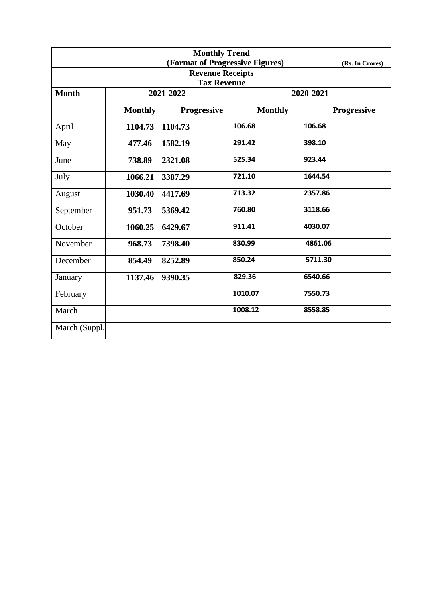| <b>Monthly Trend</b>                          |                |                                 |                |                    |  |  |  |  |
|-----------------------------------------------|----------------|---------------------------------|----------------|--------------------|--|--|--|--|
|                                               |                | (Format of Progressive Figures) |                | (Rs. In Crores)    |  |  |  |  |
| <b>Revenue Receipts</b><br><b>Tax Revenue</b> |                |                                 |                |                    |  |  |  |  |
| <b>Month</b>                                  |                | 2021-2022                       |                | 2020-2021          |  |  |  |  |
|                                               |                |                                 |                |                    |  |  |  |  |
|                                               | <b>Monthly</b> | <b>Progressive</b>              | <b>Monthly</b> | <b>Progressive</b> |  |  |  |  |
| April                                         | 1104.73        | 1104.73                         | 106.68         | 106.68             |  |  |  |  |
| May                                           | 477.46         | 1582.19                         | 291.42         | 398.10             |  |  |  |  |
| June                                          | 738.89         | 2321.08                         | 525.34         | 923.44             |  |  |  |  |
| July                                          | 1066.21        | 3387.29                         | 721.10         | 1644.54            |  |  |  |  |
| August                                        | 1030.40        | 4417.69                         | 713.32         | 2357.86            |  |  |  |  |
| September                                     | 951.73         | 5369.42                         | 760.80         | 3118.66            |  |  |  |  |
| October                                       | 1060.25        | 6429.67                         | 911.41         | 4030.07            |  |  |  |  |
| November                                      | 968.73         | 7398.40                         | 830.99         | 4861.06            |  |  |  |  |
| December                                      | 854.49         | 8252.89                         | 850.24         | 5711.30            |  |  |  |  |
| January                                       | 1137.46        | 9390.35                         | 829.36         | 6540.66            |  |  |  |  |
| February                                      |                |                                 | 1010.07        | 7550.73            |  |  |  |  |
| March                                         |                |                                 | 1008.12        | 8558.85            |  |  |  |  |
| March (Suppl.                                 |                |                                 |                |                    |  |  |  |  |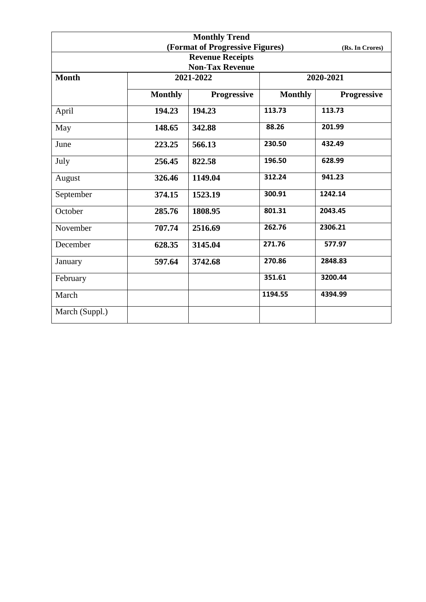| <b>Monthly Trend</b> |                |                                 |                |                 |  |
|----------------------|----------------|---------------------------------|----------------|-----------------|--|
|                      |                | (Format of Progressive Figures) |                | (Rs. In Crores) |  |
|                      |                | <b>Revenue Receipts</b>         |                |                 |  |
|                      |                | <b>Non-Tax Revenue</b>          |                |                 |  |
| <b>Month</b>         |                | 2021-2022                       |                | 2020-2021       |  |
|                      | <b>Monthly</b> | Progressive                     | <b>Monthly</b> | Progressive     |  |
| April                | 194.23         | 194.23                          | 113.73         | 113.73          |  |
| May                  | 148.65         | 342.88                          | 88.26          | 201.99          |  |
| June                 | 223.25         | 566.13                          | 230.50         | 432.49          |  |
| July                 | 256.45         | 822.58                          | 196.50         | 628.99          |  |
| August               | 326.46         | 1149.04                         | 312.24         | 941.23          |  |
| September            | 374.15         | 1523.19                         | 300.91         | 1242.14         |  |
| October              | 285.76         | 1808.95                         | 801.31         | 2043.45         |  |
| November             | 707.74         | 2516.69                         | 262.76         | 2306.21         |  |
| December             | 628.35         | 3145.04                         | 271.76         | 577.97          |  |
| January              | 597.64         | 3742.68                         | 270.86         | 2848.83         |  |
| February             |                |                                 | 351.61         | 3200.44         |  |
| March                |                |                                 | 1194.55        | 4394.99         |  |
| March (Suppl.)       |                |                                 |                |                 |  |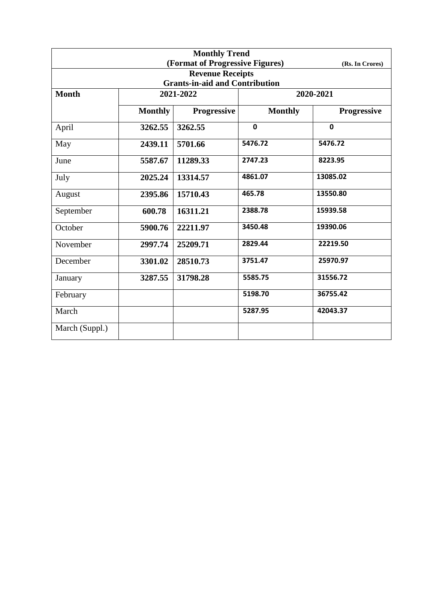| <b>Monthly Trend</b> |                |                                       |                |                 |  |
|----------------------|----------------|---------------------------------------|----------------|-----------------|--|
|                      |                | (Format of Progressive Figures)       |                | (Rs. In Crores) |  |
|                      |                | <b>Revenue Receipts</b>               |                |                 |  |
|                      |                | <b>Grants-in-aid and Contribution</b> |                |                 |  |
| <b>Month</b>         |                | 2021-2022                             | 2020-2021      |                 |  |
|                      | <b>Monthly</b> | Progressive                           | <b>Monthly</b> | Progressive     |  |
| April                | 3262.55        | 3262.55                               | $\mathbf 0$    | $\mathbf 0$     |  |
| May                  | 2439.11        | 5701.66                               | 5476.72        | 5476.72         |  |
| June                 | 5587.67        | 11289.33                              | 2747.23        | 8223.95         |  |
| July                 | 2025.24        | 13314.57                              | 4861.07        | 13085.02        |  |
| August               | 2395.86        | 15710.43                              | 465.78         | 13550.80        |  |
| September            | 600.78         | 16311.21                              | 2388.78        | 15939.58        |  |
| October              | 5900.76        | 22211.97                              | 3450.48        | 19390.06        |  |
| November             | 2997.74        | 25209.71                              | 2829.44        | 22219.50        |  |
| December             | 3301.02        | 28510.73                              | 3751.47        | 25970.97        |  |
| January              | 3287.55        | 31798.28                              | 5585.75        | 31556.72        |  |
| February             |                |                                       | 5198.70        | 36755.42        |  |
| March                |                |                                       | 5287.95        | 42043.37        |  |
| March (Suppl.)       |                |                                       |                |                 |  |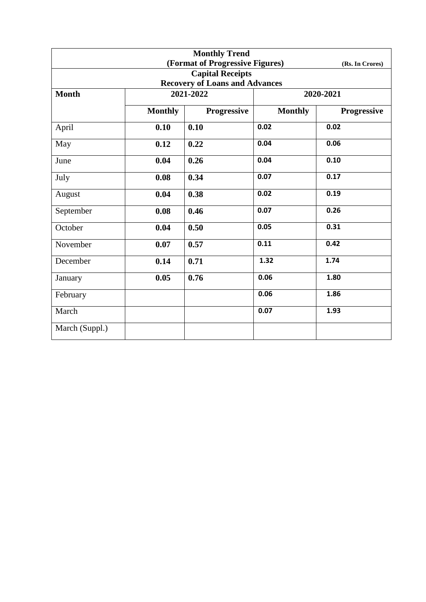| <b>Monthly Trend</b>                  |                |                                 |                |                 |  |  |
|---------------------------------------|----------------|---------------------------------|----------------|-----------------|--|--|
|                                       |                | (Format of Progressive Figures) |                | (Rs. In Crores) |  |  |
|                                       |                | <b>Capital Receipts</b>         |                |                 |  |  |
| <b>Recovery of Loans and Advances</b> |                |                                 |                |                 |  |  |
| <b>Month</b>                          |                | 2021-2022                       | 2020-2021      |                 |  |  |
|                                       | <b>Monthly</b> | Progressive                     | <b>Monthly</b> | Progressive     |  |  |
| April                                 | 0.10           | 0.10                            | 0.02           | 0.02            |  |  |
| May                                   | 0.12           | 0.22                            | 0.04           | 0.06            |  |  |
| June                                  | 0.04           | 0.26                            | 0.04           | 0.10            |  |  |
| July                                  | 0.08           | 0.34                            | 0.07           | 0.17            |  |  |
| August                                | 0.04           | 0.38                            | 0.02           | 0.19            |  |  |
| September                             | 0.08           | 0.46                            | 0.07           | 0.26            |  |  |
| October                               | 0.04           | 0.50                            | 0.05           | 0.31            |  |  |
| November                              | 0.07           | 0.57                            | 0.11           | 0.42            |  |  |
| December                              | 0.14           | 0.71                            | 1.32           | 1.74            |  |  |
| January                               | 0.05           | 0.76                            | 0.06           | 1.80            |  |  |
| February                              |                |                                 | 0.06           | 1.86            |  |  |
| March                                 |                |                                 | 0.07           | 1.93            |  |  |
| March (Suppl.)                        |                |                                 |                |                 |  |  |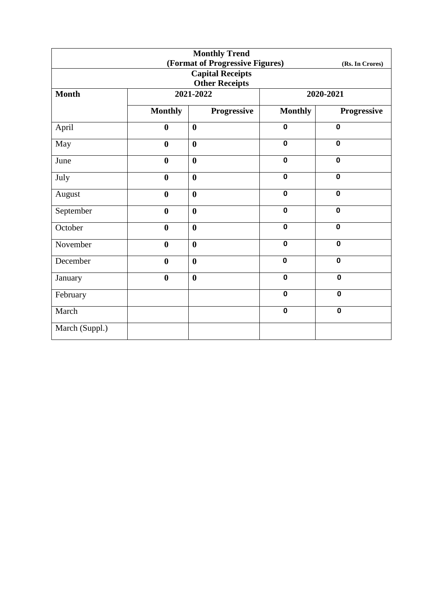| <b>Monthly Trend</b>  |                  |                                 |                |                 |  |  |
|-----------------------|------------------|---------------------------------|----------------|-----------------|--|--|
|                       |                  | (Format of Progressive Figures) |                | (Rs. In Crores) |  |  |
|                       |                  | <b>Capital Receipts</b>         |                |                 |  |  |
| <b>Other Receipts</b> |                  |                                 |                |                 |  |  |
| <b>Month</b>          |                  | 2021-2022                       |                | 2020-2021       |  |  |
|                       | <b>Monthly</b>   | Progressive                     | <b>Monthly</b> | Progressive     |  |  |
| April                 | $\boldsymbol{0}$ | $\boldsymbol{0}$                | $\mathbf 0$    | $\mathbf 0$     |  |  |
| May                   | $\bf{0}$         | $\boldsymbol{0}$                | $\mathbf 0$    | $\mathbf 0$     |  |  |
| June                  | $\bf{0}$         | $\boldsymbol{0}$                | $\mathbf 0$    | $\mathbf 0$     |  |  |
| July                  | $\boldsymbol{0}$ | $\boldsymbol{0}$                | $\mathbf 0$    | $\mathbf 0$     |  |  |
| August                | $\bf{0}$         | $\boldsymbol{0}$                | $\mathbf 0$    | $\mathbf 0$     |  |  |
| September             | $\bf{0}$         | $\boldsymbol{0}$                | $\mathbf 0$    | $\mathbf 0$     |  |  |
| October               | $\bf{0}$         | $\boldsymbol{0}$                | $\mathbf 0$    | $\mathbf 0$     |  |  |
| November              | $\bf{0}$         | $\boldsymbol{0}$                | $\mathbf 0$    | $\mathbf 0$     |  |  |
| December              | $\bf{0}$         | $\boldsymbol{0}$                | $\mathbf 0$    | $\mathbf 0$     |  |  |
| January               | $\bf{0}$         | $\bf{0}$                        | $\mathbf 0$    | $\mathbf 0$     |  |  |
| February              |                  |                                 | $\mathbf 0$    | $\mathbf 0$     |  |  |
| March                 |                  |                                 | $\mathbf 0$    | $\mathbf 0$     |  |  |
| March (Suppl.)        |                  |                                 |                |                 |  |  |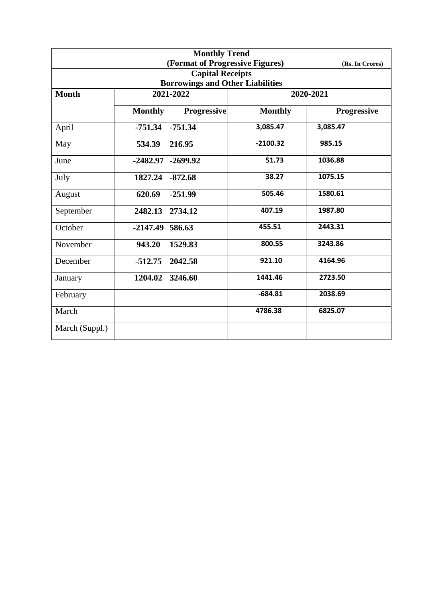| <b>Monthly Trend</b> |                |                                         |                |                    |  |
|----------------------|----------------|-----------------------------------------|----------------|--------------------|--|
|                      |                | (Format of Progressive Figures)         |                | (Rs. In Crores)    |  |
|                      |                | <b>Capital Receipts</b>                 |                |                    |  |
|                      |                | <b>Borrowings and Other Liabilities</b> |                |                    |  |
| <b>Month</b>         | 2021-2022      |                                         | 2020-2021      |                    |  |
|                      | <b>Monthly</b> | <b>Progressive</b>                      | <b>Monthly</b> | <b>Progressive</b> |  |
| April                | $-751.34$      | $-751.34$                               | 3,085.47       | 3,085.47           |  |
| May                  | 534.39         | 216.95                                  | $-2100.32$     | 985.15             |  |
| June                 | $-2482.97$     | $-2699.92$                              | 51.73          | 1036.88            |  |
| July                 | 1827.24        | $-872.68$                               | 38.27          | 1075.15            |  |
| August               | 620.69         | $-251.99$                               | 505.46         | 1580.61            |  |
| September            | 2482.13        | 2734.12                                 | 407.19         | 1987.80            |  |
| October              | $-2147.49$     | 586.63                                  | 455.51         | 2443.31            |  |
| November             | 943.20         | 1529.83                                 | 800.55         | 3243.86            |  |
| December             | $-512.75$      | 2042.58                                 | 921.10         | 4164.96            |  |
| January              | 1204.02        | 3246.60                                 | 1441.46        | 2723.50            |  |
| February             |                |                                         | $-684.81$      | 2038.69            |  |
| March                |                |                                         | 4786.38        | 6825.07            |  |
| March (Suppl.)       |                |                                         |                |                    |  |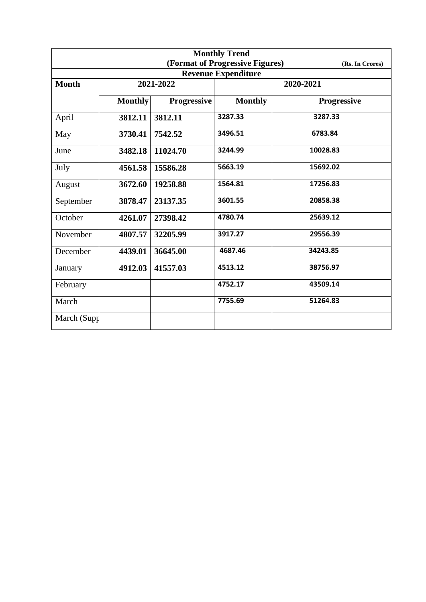| <b>Monthly Trend</b> |                |                    |                                 |                    |  |
|----------------------|----------------|--------------------|---------------------------------|--------------------|--|
|                      |                |                    | (Format of Progressive Figures) | (Rs. In Crores)    |  |
|                      |                |                    | <b>Revenue Expenditure</b>      |                    |  |
| <b>Month</b>         |                | 2021-2022          |                                 | 2020-2021          |  |
|                      | <b>Monthly</b> | <b>Progressive</b> | <b>Monthly</b>                  | <b>Progressive</b> |  |
| April                | 3812.11        | 3812.11            | 3287.33                         | 3287.33            |  |
| May                  | 3730.41        | 7542.52            | 3496.51                         | 6783.84            |  |
| June                 | 3482.18        | 11024.70           | 3244.99                         | 10028.83           |  |
| July                 | 4561.58        | 15586.28           | 5663.19                         | 15692.02           |  |
| August               | 3672.60        | 19258.88           | 1564.81                         | 17256.83           |  |
| September            | 3878.47        | 23137.35           | 3601.55                         | 20858.38           |  |
| October              | 4261.07        | 27398.42           | 4780.74                         | 25639.12           |  |
| November             | 4807.57        | 32205.99           | 3917.27                         | 29556.39           |  |
| December             | 4439.01        | 36645.00           | 4687.46                         | 34243.85           |  |
| January              | 4912.03        | 41557.03           | 4513.12                         | 38756.97           |  |
| February             |                |                    | 4752.17                         | 43509.14           |  |
| March                |                |                    | 7755.69                         | 51264.83           |  |
| March (Supp          |                |                    |                                 |                    |  |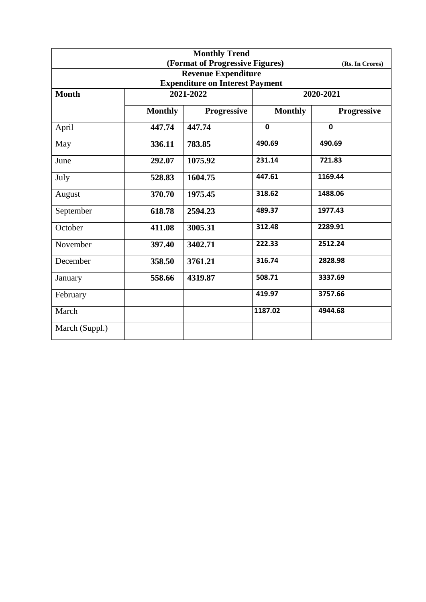| <b>Monthly Trend</b>                   |                |                                 |                |                 |  |  |
|----------------------------------------|----------------|---------------------------------|----------------|-----------------|--|--|
|                                        |                | (Format of Progressive Figures) |                | (Rs. In Crores) |  |  |
|                                        |                | <b>Revenue Expenditure</b>      |                |                 |  |  |
| <b>Expenditure on Interest Payment</b> |                |                                 |                |                 |  |  |
| <b>Month</b>                           |                | 2021-2022                       | 2020-2021      |                 |  |  |
|                                        | <b>Monthly</b> | <b>Progressive</b>              | <b>Monthly</b> | Progressive     |  |  |
| April                                  | 447.74         | 447.74                          | $\mathbf 0$    | $\mathbf 0$     |  |  |
| May                                    | 336.11         | 783.85                          | 490.69         | 490.69          |  |  |
| June                                   | 292.07         | 1075.92                         | 231.14         | 721.83          |  |  |
| July                                   | 528.83         | 1604.75                         | 447.61         | 1169.44         |  |  |
| August                                 | 370.70         | 1975.45                         | 318.62         | 1488.06         |  |  |
| September                              | 618.78         | 2594.23                         | 489.37         | 1977.43         |  |  |
| October                                | 411.08         | 3005.31                         | 312.48         | 2289.91         |  |  |
| November                               | 397.40         | 3402.71                         | 222.33         | 2512.24         |  |  |
| December                               | 358.50         | 3761.21                         | 316.74         | 2828.98         |  |  |
| January                                | 558.66         | 4319.87                         | 508.71         | 3337.69         |  |  |
| February                               |                |                                 | 419.97         | 3757.66         |  |  |
| March                                  |                |                                 | 1187.02        | 4944.68         |  |  |
| March (Suppl.)                         |                |                                 |                |                 |  |  |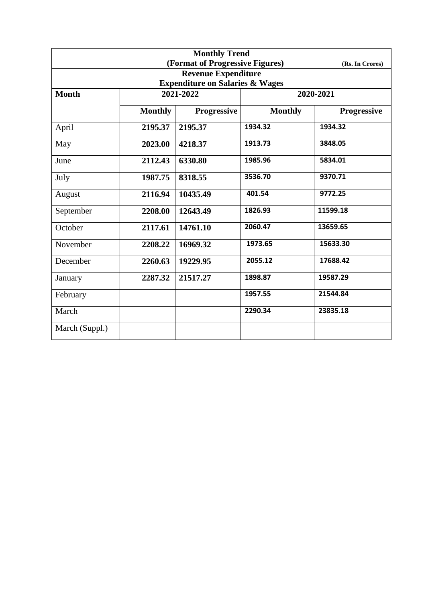| <b>Monthly Trend</b> |                |                                            |                |                 |  |
|----------------------|----------------|--------------------------------------------|----------------|-----------------|--|
|                      |                | (Format of Progressive Figures)            |                | (Rs. In Crores) |  |
|                      |                | <b>Revenue Expenditure</b>                 |                |                 |  |
|                      |                | <b>Expenditure on Salaries &amp; Wages</b> |                |                 |  |
| <b>Month</b>         |                | 2021-2022                                  | 2020-2021      |                 |  |
|                      | <b>Monthly</b> | <b>Progressive</b>                         | <b>Monthly</b> | Progressive     |  |
| April                | 2195.37        | 2195.37                                    | 1934.32        | 1934.32         |  |
| May                  | 2023.00        | 4218.37                                    | 1913.73        | 3848.05         |  |
| June                 | 2112.43        | 6330.80                                    | 1985.96        | 5834.01         |  |
| July                 | 1987.75        | 8318.55                                    | 3536.70        | 9370.71         |  |
| August               | 2116.94        | 10435.49                                   | 401.54         | 9772.25         |  |
| September            | 2208.00        | 12643.49                                   | 1826.93        | 11599.18        |  |
| October              | 2117.61        | 14761.10                                   | 2060.47        | 13659.65        |  |
| November             | 2208.22        | 16969.32                                   | 1973.65        | 15633.30        |  |
| December             | 2260.63        | 19229.95                                   | 2055.12        | 17688.42        |  |
| January              | 2287.32        | 21517.27                                   | 1898.87        | 19587.29        |  |
| February             |                |                                            | 1957.55        | 21544.84        |  |
| March                |                |                                            | 2290.34        | 23835.18        |  |
| March (Suppl.)       |                |                                            |                |                 |  |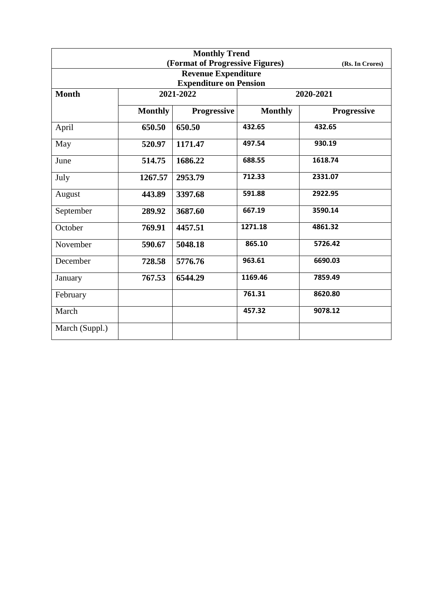| <b>Monthly Trend</b> |                |                                 |                |                    |  |
|----------------------|----------------|---------------------------------|----------------|--------------------|--|
|                      |                | (Format of Progressive Figures) |                | (Rs. In Crores)    |  |
|                      |                | <b>Revenue Expenditure</b>      |                |                    |  |
|                      |                | <b>Expenditure on Pension</b>   |                |                    |  |
| <b>Month</b>         |                | 2021-2022                       |                | 2020-2021          |  |
|                      | <b>Monthly</b> | <b>Progressive</b>              | <b>Monthly</b> | <b>Progressive</b> |  |
| April                | 650.50         | 650.50                          | 432.65         | 432.65             |  |
| May                  | 520.97         | 1171.47                         | 497.54         | 930.19             |  |
| June                 | 514.75         | 1686.22                         | 688.55         | 1618.74            |  |
| July                 | 1267.57        | 2953.79                         | 712.33         | 2331.07            |  |
| August               | 443.89         | 3397.68                         | 591.88         | 2922.95            |  |
| September            | 289.92         | 3687.60                         | 667.19         | 3590.14            |  |
| October              | 769.91         | 4457.51                         | 1271.18        | 4861.32            |  |
| November             | 590.67         | 5048.18                         | 865.10         | 5726.42            |  |
| December             | 728.58         | 5776.76                         | 963.61         | 6690.03            |  |
| January              | 767.53         | 6544.29                         | 1169.46        | 7859.49            |  |
| February             |                |                                 | 761.31         | 8620.80            |  |
| March                |                |                                 | 457.32         | 9078.12            |  |
| March (Suppl.)       |                |                                 |                |                    |  |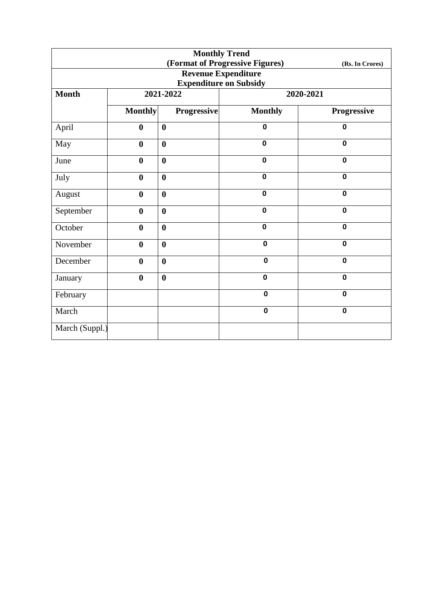| <b>Monthly Trend</b> |                  |                    |                                 |                 |
|----------------------|------------------|--------------------|---------------------------------|-----------------|
|                      |                  |                    | (Format of Progressive Figures) | (Rs. In Crores) |
|                      |                  |                    | <b>Revenue Expenditure</b>      |                 |
|                      |                  |                    | <b>Expenditure on Subsidy</b>   |                 |
| <b>Month</b>         |                  | 2021-2022          |                                 | 2020-2021       |
|                      | <b>Monthly</b>   | <b>Progressive</b> | <b>Monthly</b>                  | Progressive     |
| April                | $\boldsymbol{0}$ | $\boldsymbol{0}$   | $\mathbf 0$                     | $\mathbf 0$     |
| May                  | $\boldsymbol{0}$ | $\boldsymbol{0}$   | $\mathbf 0$                     | $\mathbf 0$     |
| June                 | $\boldsymbol{0}$ | $\boldsymbol{0}$   | $\mathbf 0$                     | $\mathbf 0$     |
| July                 | $\boldsymbol{0}$ | $\boldsymbol{0}$   | $\mathbf 0$                     | $\mathbf 0$     |
| August               | $\boldsymbol{0}$ | $\bf{0}$           | $\mathbf 0$                     | $\mathbf 0$     |
| September            | $\boldsymbol{0}$ | $\bf{0}$           | $\mathbf 0$                     | $\mathbf 0$     |
| October              | $\boldsymbol{0}$ | $\bf{0}$           | $\mathbf 0$                     | $\mathbf 0$     |
| November             | $\boldsymbol{0}$ | $\boldsymbol{0}$   | $\mathbf 0$                     | $\mathbf 0$     |
| December             | $\boldsymbol{0}$ | $\bf{0}$           | $\mathbf 0$                     | $\mathbf 0$     |
| January              | $\boldsymbol{0}$ | $\bf{0}$           | $\mathbf 0$                     | $\mathbf 0$     |
| February             |                  |                    | $\mathbf 0$                     | $\mathbf 0$     |
| March                |                  |                    | $\mathbf 0$                     | $\mathbf 0$     |
| March (Suppl.)       |                  |                    |                                 |                 |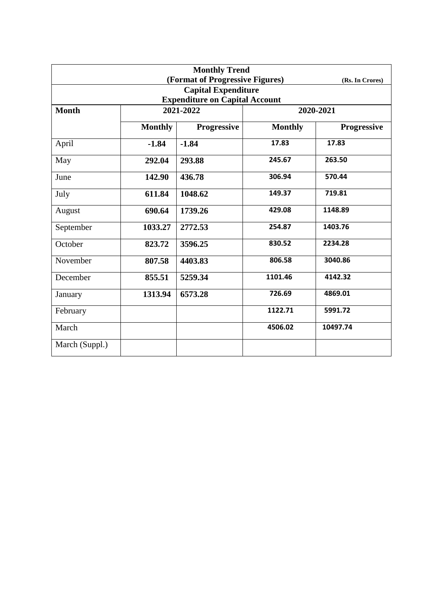| <b>Monthly Trend</b><br>(Format of Progressive Figures) |                 |                    |                |                    |  |  |
|---------------------------------------------------------|-----------------|--------------------|----------------|--------------------|--|--|
|                                                         | (Rs. In Crores) |                    |                |                    |  |  |
| <b>Capital Expenditure</b>                              |                 |                    |                |                    |  |  |
| <b>Expenditure on Capital Account</b>                   |                 |                    |                |                    |  |  |
| <b>Month</b>                                            | 2021-2022       |                    | 2020-2021      |                    |  |  |
|                                                         | <b>Monthly</b>  | <b>Progressive</b> | <b>Monthly</b> | <b>Progressive</b> |  |  |
| April                                                   | $-1.84$         | $-1.84$            | 17.83          | 17.83              |  |  |
| May                                                     | 292.04          | 293.88             | 245.67         | 263.50             |  |  |
| June                                                    | 142.90          | 436.78             | 306.94         | 570.44             |  |  |
| July                                                    | 611.84          | 1048.62            | 149.37         | 719.81             |  |  |
| August                                                  | 690.64          | 1739.26            | 429.08         | 1148.89            |  |  |
| September                                               | 1033.27         | 2772.53            | 254.87         | 1403.76            |  |  |
| October                                                 | 823.72          | 3596.25            | 830.52         | 2234.28            |  |  |
| November                                                | 807.58          | 4403.83            | 806.58         | 3040.86            |  |  |
| December                                                | 855.51          | 5259.34            | 1101.46        | 4142.32            |  |  |
| January                                                 | 1313.94         | 6573.28            | 726.69         | 4869.01            |  |  |
| February                                                |                 |                    | 1122.71        | 5991.72            |  |  |
| March                                                   |                 |                    | 4506.02        | 10497.74           |  |  |
| March (Suppl.)                                          |                 |                    |                |                    |  |  |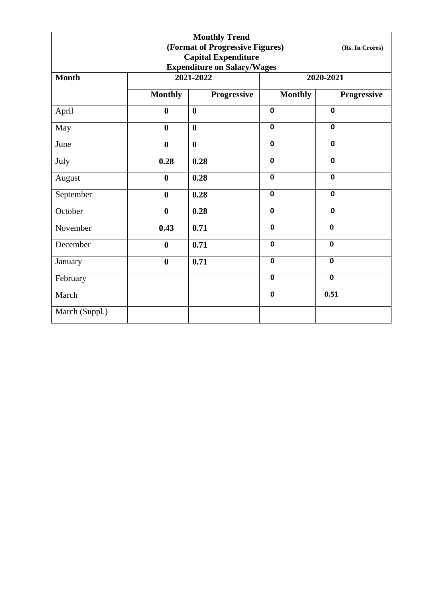|                                                    |                  | <b>Monthly Trend</b> |                |             |  |
|----------------------------------------------------|------------------|----------------------|----------------|-------------|--|
| (Format of Progressive Figures)<br>(Rs. In Crores) |                  |                      |                |             |  |
| <b>Capital Expenditure</b>                         |                  |                      |                |             |  |
| <b>Expenditure on Salary/Wages</b>                 |                  |                      |                |             |  |
| <b>Month</b>                                       |                  | 2021-2022            | 2020-2021      |             |  |
|                                                    | <b>Monthly</b>   | Progressive          | <b>Monthly</b> | Progressive |  |
| April                                              | $\boldsymbol{0}$ | $\boldsymbol{0}$     | $\mathbf 0$    | $\mathbf 0$ |  |
| May                                                | $\boldsymbol{0}$ | $\boldsymbol{0}$     | $\mathbf 0$    | $\mathbf 0$ |  |
| June                                               | $\bf{0}$         | $\boldsymbol{0}$     | $\mathbf 0$    | $\mathbf 0$ |  |
| July                                               | 0.28             | 0.28                 | $\mathbf 0$    | $\mathbf 0$ |  |
| August                                             | $\bf{0}$         | 0.28                 | $\mathbf 0$    | $\mathbf 0$ |  |
| September                                          | $\boldsymbol{0}$ | 0.28                 | $\mathbf 0$    | $\mathbf 0$ |  |
| October                                            | $\boldsymbol{0}$ | 0.28                 | $\mathbf 0$    | $\mathbf 0$ |  |
| November                                           | 0.43             | 0.71                 | $\mathbf 0$    | $\mathbf 0$ |  |
| December                                           | $\boldsymbol{0}$ | 0.71                 | $\mathbf 0$    | $\mathbf 0$ |  |
| January                                            | $\bf{0}$         | 0.71                 | $\mathbf 0$    | $\mathbf 0$ |  |
| February                                           |                  |                      | $\mathbf 0$    | $\mathbf 0$ |  |
| March                                              |                  |                      | $\mathbf 0$    | 0.51        |  |
| March (Suppl.)                                     |                  |                      |                |             |  |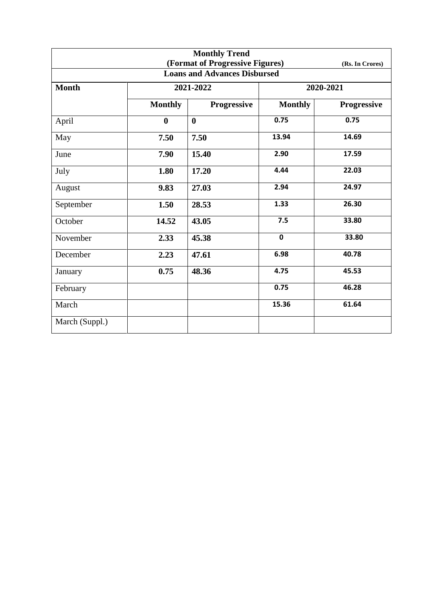|                                                    |                | <b>Monthly Trend</b> |                |                    |  |  |
|----------------------------------------------------|----------------|----------------------|----------------|--------------------|--|--|
| (Format of Progressive Figures)<br>(Rs. In Crores) |                |                      |                |                    |  |  |
| <b>Loans and Advances Disbursed</b>                |                |                      |                |                    |  |  |
| <b>Month</b>                                       |                | 2021-2022            | 2020-2021      |                    |  |  |
|                                                    | <b>Monthly</b> | Progressive          | <b>Monthly</b> | <b>Progressive</b> |  |  |
| April                                              | $\bf{0}$       | $\bf{0}$             | 0.75           | 0.75               |  |  |
| May                                                | 7.50           | 7.50                 | 13.94          | 14.69              |  |  |
| June                                               | 7.90           | 15.40                | 2.90           | 17.59              |  |  |
| July                                               | 1.80           | 17.20                | 4.44           | 22.03              |  |  |
| August                                             | 9.83           | 27.03                | 2.94           | 24.97              |  |  |
| September                                          | 1.50           | 28.53                | 1.33           | 26.30              |  |  |
| October                                            | 14.52          | 43.05                | 7.5            | 33.80              |  |  |
| November                                           | 2.33           | 45.38                | $\mathbf 0$    | 33.80              |  |  |
| December                                           | 2.23           | 47.61                | 6.98           | 40.78              |  |  |
| January                                            | 0.75           | 48.36                | 4.75           | 45.53              |  |  |
| February                                           |                |                      | 0.75           | 46.28              |  |  |
| March                                              |                |                      | 15.36          | 61.64              |  |  |
| March (Suppl.)                                     |                |                      |                |                    |  |  |